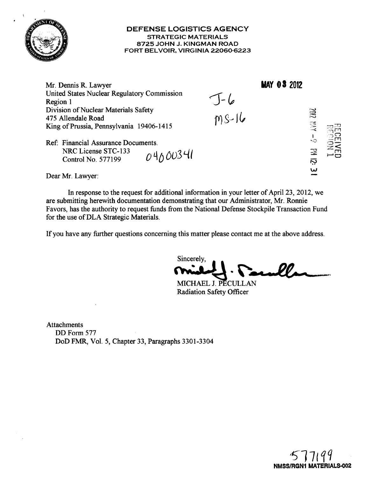

# DEFENSE LOGISTICS AGENCY STRATEGIC MATERIALS 8725 JOHN J. KINGMAN ROAD FORT BELVOIR, VIRGINIA 22060-6223

Mr. Dennis R. Lawyer **MAY 03 2012** United States Nuclear Regulatory Commission J-6<br>MS-16 Region 1 Division of Nuclear Materials Safety **2002** 475 Allendale Road  $\overline{\delta}$  -  $\overline{\lambda}$  =  $\overline{\lambda}$ King of Prussia, Pennsylvania 19406-1415 Ref: Financial Assurance Documents.  $\mathbb{R}$ NRC License STC-133 04000341 Control No. 577199 ឆ្ន

Dear Mr. Lawyer:

In response to the request for additional information in your letter of April 23, 2012, we are submitting herewith documentation demonstrating that our Administrator, Mr. Ronnie Favors, has the authority to request funds from the National Defense Stockpile Transaction Fund for the use of DLA Strategic Materials.

If you have any further questions concerning this matter please contact me at the above address.

Sincerely, ~... ·~.c .I.l~.-",~--."

MICHAEL J. PECULLAN Radiation Safety Officer

Attachments DD Form 577 DoD FMR, Vol. 5, Chapter 33, Paragraphs 3301-3304



W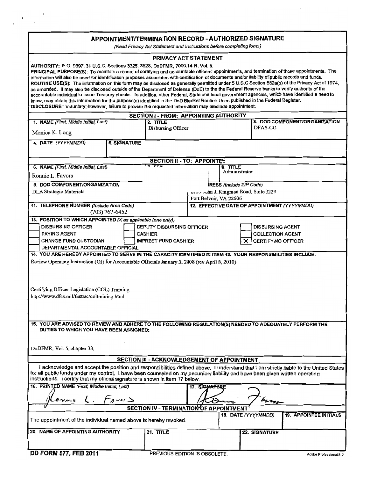# APPOINTMENTJTERMINATlON RECORD - AUTHORIZED SIGNATURE

(Read Privacy Act Statement and Instructions before completing form.)

|                                                                                                                                                                                                                                                                                                                                                                                                                                                                                                                                                  |                     | PRIVACY ACT STATEMENT                   |                                              |                                     |                           |                               |  |
|--------------------------------------------------------------------------------------------------------------------------------------------------------------------------------------------------------------------------------------------------------------------------------------------------------------------------------------------------------------------------------------------------------------------------------------------------------------------------------------------------------------------------------------------------|---------------------|-----------------------------------------|----------------------------------------------|-------------------------------------|---------------------------|-------------------------------|--|
| AUTHORITY: E.O. 9397, 31 U.S.C. Sections 3325, 3528, DoDFMR, 7000.14-R, Vol. 5.<br>PRINCIPAL PURPOSE(S): To maintain a record of certifying and accountable officers' appointments, and termination of those appointments. The<br>information will also be used for identification purposes associated with certification of documents and/or liability of public records and funds.<br>ROUTINE USE(S): The information on this form may be disclosed as generally permitted under 5 U.S.C Section 552a(b) of the Privacy Act of 1974,           |                     |                                         |                                              |                                     |                           |                               |  |
| as amended. It may also be disclosed outside of the Department of Defense (DoD) to the the Federal Reserve banks to verify authority of the<br>accountable individual to issue Treasury checks. In addition, other Federal, State and local government agencies, which have identified a need to<br>know, may obtain this information for the purpose(s) identified in the DoD Blanket Routine Uses published in the Federal Register.<br>DISCLOSURE: Voluntary; however, failure to provide the requested information may preclude appointment. |                     |                                         |                                              |                                     |                           |                               |  |
| <b>SECTION I - FROM: APPOINTING AUTHORITY</b>                                                                                                                                                                                                                                                                                                                                                                                                                                                                                                    |                     |                                         |                                              |                                     |                           |                               |  |
| 1. NAME (First, Middle Initial, Last)                                                                                                                                                                                                                                                                                                                                                                                                                                                                                                            |                     | 2. TITLE                                |                                              |                                     |                           | 3. DOD COMPONENT/ORGANIZATION |  |
| Disbursing Officer<br>Monica K. Long                                                                                                                                                                                                                                                                                                                                                                                                                                                                                                             |                     |                                         |                                              | DFAS-CO                             |                           |                               |  |
| 4. DATE (YYYYMMDD)                                                                                                                                                                                                                                                                                                                                                                                                                                                                                                                               | <b>5. SIGNATURE</b> |                                         |                                              |                                     |                           |                               |  |
|                                                                                                                                                                                                                                                                                                                                                                                                                                                                                                                                                  |                     | <b>SECTION II - TO: APPOINTEE</b>       |                                              |                                     |                           |                               |  |
| 6. NAME (First, Middle Initial, Last)                                                                                                                                                                                                                                                                                                                                                                                                                                                                                                            |                     | $rac{1}{\sqrt{2}}$                      |                                              | 8. TITLE<br>Administrator           |                           |                               |  |
| Ronnie L. Favors                                                                                                                                                                                                                                                                                                                                                                                                                                                                                                                                 |                     |                                         |                                              |                                     |                           |                               |  |
| 9. DOD COMPONENT/ORGANIZATION                                                                                                                                                                                                                                                                                                                                                                                                                                                                                                                    |                     |                                         |                                              | RESS (Include ZIP Code)             |                           |                               |  |
| DLA Strategic Materials                                                                                                                                                                                                                                                                                                                                                                                                                                                                                                                          |                     |                                         | Fort Belvoir, VA 22606                       | wrewwhn J. Kingman Road, Suite 3229 |                           |                               |  |
| 11. TELEPHONE NUMBER (Include Area Code)                                                                                                                                                                                                                                                                                                                                                                                                                                                                                                         | $(703)$ 767-6452    |                                         | 12. EFFECTIVE DATE OF APPOINTMENT (YYYYMMDD) |                                     |                           |                               |  |
| 13. POSITION TO WHICH APPOINTED (X as applicable (one only))                                                                                                                                                                                                                                                                                                                                                                                                                                                                                     |                     |                                         |                                              |                                     |                           |                               |  |
| <b>DISBURSING OFFICER</b>                                                                                                                                                                                                                                                                                                                                                                                                                                                                                                                        |                     | DEPUTY DISBURSING OFFICER               |                                              |                                     | <b>DISBURSING AGENT</b>   |                               |  |
| PAYING AGENT                                                                                                                                                                                                                                                                                                                                                                                                                                                                                                                                     |                     | CASHIER                                 |                                              |                                     | <b>COLLECTION AGENT</b>   |                               |  |
| <b>CHANGE FUND CUSTODIAN</b><br>DEPARTMENTAL ACCOUNTABLE OFFICIAL                                                                                                                                                                                                                                                                                                                                                                                                                                                                                |                     | <b>IMPREST FUND CASHIER</b>             |                                              |                                     | <b>CERTIFYING OFFICER</b> |                               |  |
| 14. YOU ARE HEREBY APPOINTED TO SERVE IN THE CAPACITY IDENTIFIED IN ITEM 13. YOUR RESPONSIBILITIES INCLUDE:                                                                                                                                                                                                                                                                                                                                                                                                                                      |                     |                                         |                                              |                                     |                           |                               |  |
| Review Operating Instruction (OI) for Accountable Officials January 3, 2008 (rev April 8, 2010)                                                                                                                                                                                                                                                                                                                                                                                                                                                  |                     |                                         |                                              |                                     |                           |                               |  |
|                                                                                                                                                                                                                                                                                                                                                                                                                                                                                                                                                  |                     |                                         |                                              |                                     |                           |                               |  |
|                                                                                                                                                                                                                                                                                                                                                                                                                                                                                                                                                  |                     |                                         |                                              |                                     |                           |                               |  |
|                                                                                                                                                                                                                                                                                                                                                                                                                                                                                                                                                  |                     |                                         |                                              |                                     |                           |                               |  |
| Certifying Officer Legislation (COL) Training<br>http://www.dfas.mil/fastrac/coltraining.html                                                                                                                                                                                                                                                                                                                                                                                                                                                    |                     |                                         |                                              |                                     |                           |                               |  |
|                                                                                                                                                                                                                                                                                                                                                                                                                                                                                                                                                  |                     |                                         |                                              |                                     |                           |                               |  |
|                                                                                                                                                                                                                                                                                                                                                                                                                                                                                                                                                  |                     |                                         |                                              |                                     |                           |                               |  |
|                                                                                                                                                                                                                                                                                                                                                                                                                                                                                                                                                  |                     |                                         |                                              |                                     |                           |                               |  |
| 15. YOU ARE ADVISED TO REVIEW AND ADHERE TO THE FOLLOWING REGULATION(S) NEEDED TO ADEQUATELY PERFORM THE<br>DUTIES TO WHICH YOU HAVE BEEN ASSIGNED:                                                                                                                                                                                                                                                                                                                                                                                              |                     |                                         |                                              |                                     |                           |                               |  |
| DoDFMR, Vol. 5, chapter 33;                                                                                                                                                                                                                                                                                                                                                                                                                                                                                                                      |                     |                                         |                                              |                                     |                           |                               |  |
| SECTION III - ACKNOWLEDGEMENT OF APPOINTMENT                                                                                                                                                                                                                                                                                                                                                                                                                                                                                                     |                     |                                         |                                              |                                     |                           |                               |  |
| I acknowledge and accept the position and responsibilities defined above. I understand that I am strictly liable to the United States<br>for all public funds under my control. I have been counseled on my pecuniary liability and have been given written operating                                                                                                                                                                                                                                                                            |                     |                                         |                                              |                                     |                           |                               |  |
| instructions. I certify that my official signature is shown in item 17 below.                                                                                                                                                                                                                                                                                                                                                                                                                                                                    |                     |                                         |                                              |                                     |                           |                               |  |
| 16. PRINTED NAME (First, Middle Initial, Last)<br>17. SIGNATURE<br>$L$ . FAUSES                                                                                                                                                                                                                                                                                                                                                                                                                                                                  |                     |                                         |                                              |                                     |                           |                               |  |
| 0.3111                                                                                                                                                                                                                                                                                                                                                                                                                                                                                                                                           |                     |                                         |                                              |                                     | hang                      |                               |  |
|                                                                                                                                                                                                                                                                                                                                                                                                                                                                                                                                                  |                     | SECTION IV - TERMINATION OF APPOINTMENT |                                              | 18. DATE (YYYYMMDD)                 |                           | <b>19. APPOINTEE INITIALS</b> |  |
| The appointment of the individual named above is hereby revoked.                                                                                                                                                                                                                                                                                                                                                                                                                                                                                 |                     |                                         |                                              |                                     |                           |                               |  |
| 20. NAME OF APPOINTING AUTHORITY                                                                                                                                                                                                                                                                                                                                                                                                                                                                                                                 |                     | 21. TITLE                               |                                              |                                     | 22. SIGNATURE             |                               |  |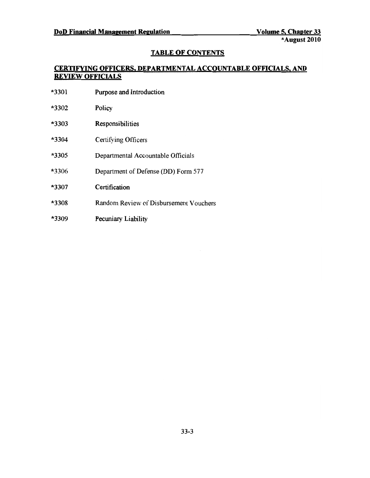# TABLE OF CONTENTS

# CERTIFYING OFFICERS. DEPARTMENTAL ACCOUNTABLE OFFICIALS. AND REVIEW OFFICIALS

| *3301 | Purpose and Introduction               |
|-------|----------------------------------------|
| *3302 | Policy                                 |
| *3303 | Responsibilities                       |
| *3304 | Certifying Officers                    |
| *3305 | Departmental Accountable Officials     |
| *3306 | Department of Defense (DD) Form 577    |
| *3307 | Certification                          |
| *3308 | Random Review of Disbursement Vouchers |
| *3309 | Pecuniary Liability                    |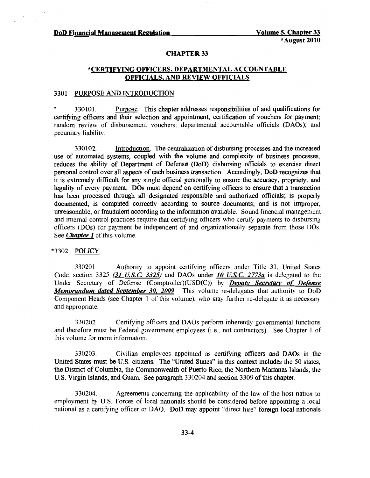#### CHAPTER 33

# \*CERTIFYING OFFICERS, DEPARTMENTAL ACCOUNTABLE OFFICIALS, AND REVIEW OFFICIALS

# 3301 PURPOSE AND INTRODUCTION

\* 330101. Pm:pose. This chapter addresses responsibilities of and qualifications for certifying officers and their selection and appointment; certification of vouchers for payment; random review of disbursement vouchers; departmental accountable officials (DAOs); and pecuniary liability.

330102. Introduction. The centralization of disbursing processes and the increased use of automated systems, coupled with the volume and complexity of business processes, reduces the ability of Department of Defense (DoD) disbursing officials to exercise direct personal control over all aspects of each business transaction. Accordingly, DoD recognizes that it is extremely difficult for any single official personally to ensure the accuracy, propriety, and legality of every payment. DOs must depend on certifying officers to ensure that a transaction has been processed through all designated responsible and authorized officials; is properly documented, is computed correctly according to source documents; and is not improper, unreasonable, or fraudulent according to the information available. Sound financial management and internal control practices require that certifying officers who certify payments to disbursing officers (DOs) for payment be independent of and organizationally separate from those DOs. See *Chapter 1* of this volume.

# \*3302 POLICY

330201. Authority to appoint certifying officers under Title 31, United States Code, section 3325 (31 *U.S.C. 3325*) and DAOs under *10 U.S.C. 2773a* is delegated to the Under Secretary of Defense (Comptroller)(USD(C» by *Deputy Secretary of Defense Memorandum dated September 30, 2009.* This volume re-delegates that authority to DoD Component Heads (see Chapter 1 of this volume), who may further re-delegate it as necessary and appropriate.

330202. Certifying officers and DAOs perform inherently governmental functions and therefore must be Federal government employees (i.e., not contractors). See Chapter 1 of this volume for more information.

330203. Civilian employees appointed as certifying officers and DAOs in the United States must be U.S. citizens. The "United States" in this context includes the 50 states, the District of Columbia, the Commonwealth of Puerto Rico, the Northern Marianas Islands, the U.S. Virgin Islands, and Guam. See paragraph 330204 and section 3309 ofthis chapter.

330204. Agreements concerning the applicability of the law of the host nation to employment by U.S. Forces of local nationals should be considered before appointing a local national as a certifying officer or DAO. DoD may appoint "direct hire" foreign local nationals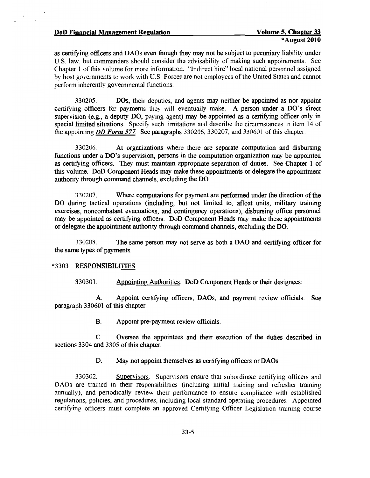#### DoD Financial Management Regulation Volume 5, Chapter 33

as certifying officers and DAOs even though they may not be subject to pecuniary liability under U.S. law, but commanders should consider the advisability of making such appointments. See Chapter 1 of this volume for more information. "Indirect hire" local national personnel assigned by host governments to work with U.S. Forces are not employees of the United States and cannot perform inherently governmental functions,

330205, DOs, their deputies, and agents may neither be appointed as nor appoint certifying officers for payments they will eventually make. A person under a DO's direct supervision (e.g., a deputy DO, paying agent) may be appointed as a certifying officer only in special limited situations. Specify such limitations and describe the circumstances in item 14 of the appointing *DD Form* 577, See paragraphs 330206, 330207, and 330601 of this chapter.

330206. At organizations where there are separate computation and disbursing functions under a DO's supervision, persons in the computation organization may be appointed as certifying officers. They must maintain appropriate separation of duties. See Chapter 1 of this volume. DoD Component Heads may make these appointments or delegate the appointment authority through command channels, excluding the DO.

330207. Where computations for payment are performed under the direction of the DO during tactical operations (including, but not limited to, afloat units, military training exercises, noncombatant evacuations, and contingency operations), disbursing office personnel may be appointed as certifying officers. DoD Component Heads may make these appointments or delegate the appointment authority through command channels, excluding the DO.

330208. The same person may not serve as both a DAO and certifying officer for the same types of payments.

#### \*3303 RESPONSIBILITIES

330301. Appointing Authorities. DoD Component Heads or their designees:

A. Appoint certifying officers, DAOs, and payment review officials. See paragraph 330601 of this chapter.

B. Appoint pre-payment review officials.

C. Oversee the appointees and their execution of the duties described in sections 3304 and 3305 of this chapter.

D. May not appoint themselves as certifying officers or DAOs.

330302. Supervisors. Supervisors ensure that subordinate certifying officers and DAOs are trained in their responsibilities (including initial training and refresher training annually), and periodically review their performance to ensure compliance with established regulations, policies, and procedures, including local standard operating procedures. Appointed certifying officers must complete an approved Certifying Officer Legislation training course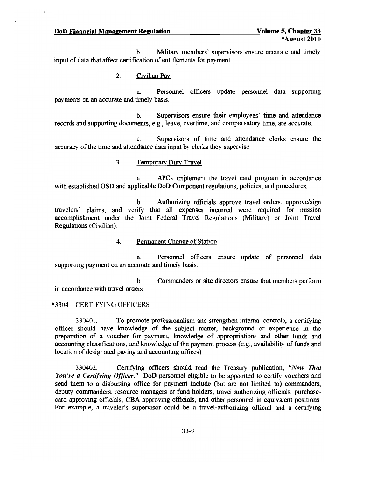#### **DoD Financial Management Regulation**  Volume 5, Chapter 33

b. Military members' supervisors ensure accurate and timely input of data that affect certification of entitlements for payment.

2. Civilian Pay

a Personnel officers update personnel data supporting payments on an accurate and timely basis.

b. Supervisors ensure their employees' time and attendance records and supporting documents, e.g., leave, overtime, and compensatory time, are accurate.

c. Supervisors of time and attendance clerks ensure the accuracy of the time and attendance data input by clerks they supervise.

# 3. Temporary Duty Travel

a APCs implement the travel card program in accordance with established OSD and applicable DoD Component regulations, policies, and procedures.

b. Authorizing officials approve travel orders, approve/sign travelers' claims, and verifY that all expenses incurred were required for mission accomplishment under the Joint Federal Travel Regulations (Military) or Joint Travel Regulations (Civilian).

#### 4. Permanent Change of Station

a. Personnel officers ensure update of personnel data supporting payment on an accurate and timely basis.

b. Commanders or site directors ensure that members perform in accordance with travel orders.

#### \*3304 CERTIFYING OFFICERS

330401. To promote professionalism and strengthen internal controls, a certifying officer should have knowledge of the subject matter, background or experience in the preparation of a voucher for payment, knowledge of appropriations and other funds and accounting classifications, and knowledge of the payment process (e.g., availability of funds and location of designated paying and accounting offices).

330402. CertifYing officers should read the Treasury publication, *"Now That You're a Certifying Officer.*" DoD personnel eligible to be appointed to certify vouchers and send them to a disbursing office for payment include (but are not limited to) commanders, deputy commanders, resource managers or fund holders, travel authorizing officials, purchasecard approving officials, CBA approving officials, and other personnel in equivalent positions. For example, a traveler's supervisor could be a travel-authorizing official and a certifying